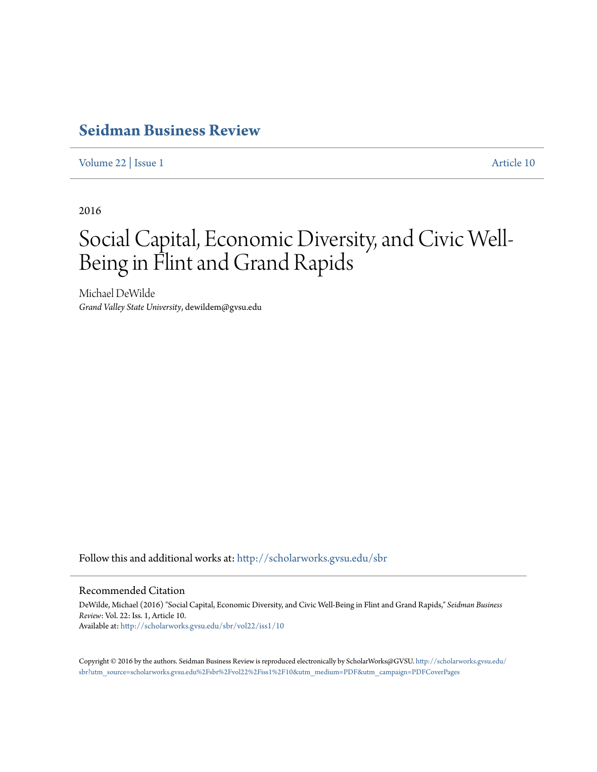## **[Seidman Business Review](http://scholarworks.gvsu.edu/sbr?utm_source=scholarworks.gvsu.edu%2Fsbr%2Fvol22%2Fiss1%2F10&utm_medium=PDF&utm_campaign=PDFCoverPages)**

[Volume 22](http://scholarworks.gvsu.edu/sbr/vol22?utm_source=scholarworks.gvsu.edu%2Fsbr%2Fvol22%2Fiss1%2F10&utm_medium=PDF&utm_campaign=PDFCoverPages) | [Issue 1](http://scholarworks.gvsu.edu/sbr/vol22/iss1?utm_source=scholarworks.gvsu.edu%2Fsbr%2Fvol22%2Fiss1%2F10&utm_medium=PDF&utm_campaign=PDFCoverPages) [Article 10](http://scholarworks.gvsu.edu/sbr/vol22/iss1/10?utm_source=scholarworks.gvsu.edu%2Fsbr%2Fvol22%2Fiss1%2F10&utm_medium=PDF&utm_campaign=PDFCoverPages)

2016

# Social Capital, Economic Diversity, and Civic Well-Being in Flint and Grand Rapids

Michael DeWilde *Grand Valley State University*, dewildem@gvsu.edu

Follow this and additional works at: [http://scholarworks.gvsu.edu/sbr](http://scholarworks.gvsu.edu/sbr?utm_source=scholarworks.gvsu.edu%2Fsbr%2Fvol22%2Fiss1%2F10&utm_medium=PDF&utm_campaign=PDFCoverPages)

## Recommended Citation

DeWilde, Michael (2016) "Social Capital, Economic Diversity, and Civic Well-Being in Flint and Grand Rapids," *Seidman Business Review*: Vol. 22: Iss. 1, Article 10. Available at: [http://scholarworks.gvsu.edu/sbr/vol22/iss1/10](http://scholarworks.gvsu.edu/sbr/vol22/iss1/10?utm_source=scholarworks.gvsu.edu%2Fsbr%2Fvol22%2Fiss1%2F10&utm_medium=PDF&utm_campaign=PDFCoverPages)

Copyright © 2016 by the authors. Seidman Business Review is reproduced electronically by ScholarWorks@GVSU. [http://scholarworks.gvsu.edu/](http://scholarworks.gvsu.edu/sbr?utm_source=scholarworks.gvsu.edu%2Fsbr%2Fvol22%2Fiss1%2F10&utm_medium=PDF&utm_campaign=PDFCoverPages) [sbr?utm\\_source=scholarworks.gvsu.edu%2Fsbr%2Fvol22%2Fiss1%2F10&utm\\_medium=PDF&utm\\_campaign=PDFCoverPages](http://scholarworks.gvsu.edu/sbr?utm_source=scholarworks.gvsu.edu%2Fsbr%2Fvol22%2Fiss1%2F10&utm_medium=PDF&utm_campaign=PDFCoverPages)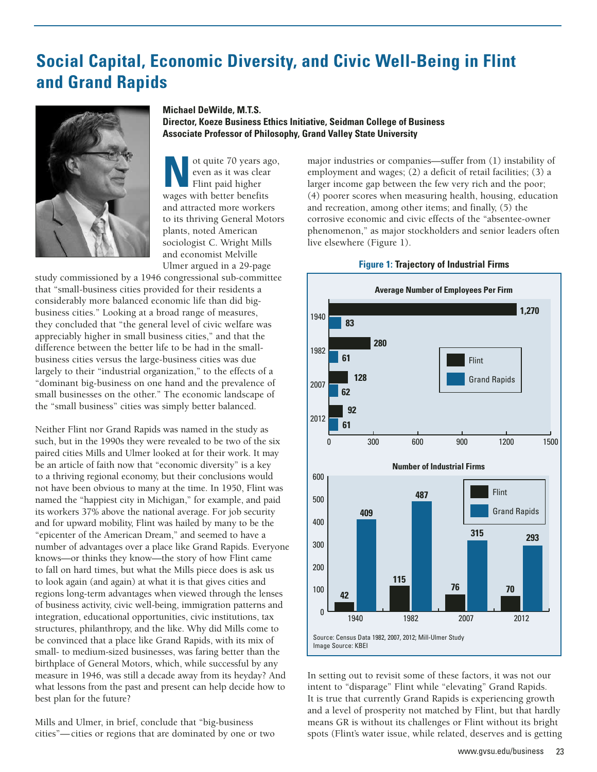# **Social Capital, Economic Diversity, and Civic Well-Being in Flint and Grand Rapids**



**Michael DeWilde, M.T.S.**

**Director, Koeze Business Ethics Initiative, Seidman College of Business Associate Professor of Philosophy, Grand Valley State University**

**N**ot quite 70 years ago, even as it was clear Flint paid higher wages with better benefits and attracted more workers to its thriving General Motors plants, noted American sociologist C. Wright Mills and economist Melville Ulmer argued in a 29-page

study commissioned by a 1946 congressional sub-committee that "small-business cities provided for their residents a considerably more balanced economic life than did bigbusiness cities." Looking at a broad range of measures, they concluded that "the general level of civic welfare was appreciably higher in small business cities," and that the difference between the better life to be had in the smallbusiness cities versus the large-business cities was due largely to their "industrial organization," to the effects of a "dominant big-business on one hand and the prevalence of small businesses on the other." The economic landscape of the "small business" cities was simply better balanced.

Neither Flint nor Grand Rapids was named in the study as such, but in the 1990s they were revealed to be two of the six paired cities Mills and Ulmer looked at for their work. It may be an article of faith now that "economic diversity" is a key to a thriving regional economy, but their conclusions would not have been obvious to many at the time. In 1950, Flint was named the "happiest city in Michigan," for example, and paid its workers 37% above the national average. For job security and for upward mobility, Flint was hailed by many to be the "epicenter of the American Dream," and seemed to have a number of advantages over a place like Grand Rapids. Everyone knows—or thinks they know—the story of how Flint came to fall on hard times, but what the Mills piece does is ask us to look again (and again) at what it is that gives cities and regions long-term advantages when viewed through the lenses of business activity, civic well-being, immigration patterns and integration, educational opportunities, civic institutions, tax structures, philanthropy, and the like. Why did Mills come to be convinced that a place like Grand Rapids, with its mix of small- to medium-sized businesses, was faring better than the birthplace of General Motors, which, while successful by any measure in 1946, was still a decade away from its heyday? And what lessons from the past and present can help decide how to best plan for the future?

Mills and Ulmer, in brief, conclude that "big-business cities"—cities or regions that are dominated by one or two major industries or companies—suffer from (1) instability of employment and wages; (2) a deficit of retail facilities; (3) a larger income gap between the few very rich and the poor; (4) poorer scores when measuring health, housing, education and recreation, among other items; and finally, (5) the corrosive economic and civic effects of the "absentee-owner phenomenon," as major stockholders and senior leaders often live elsewhere (Figure 1).



In setting out to revisit some of these factors, it was not our intent to "disparage" Flint while "elevating" Grand Rapids. It is true that currently Grand Rapids is experiencing growth and a level of prosperity not matched by Flint, but that hardly means GR is without its challenges or Flint without its bright spots (Flint's water issue, while related, deserves and is getting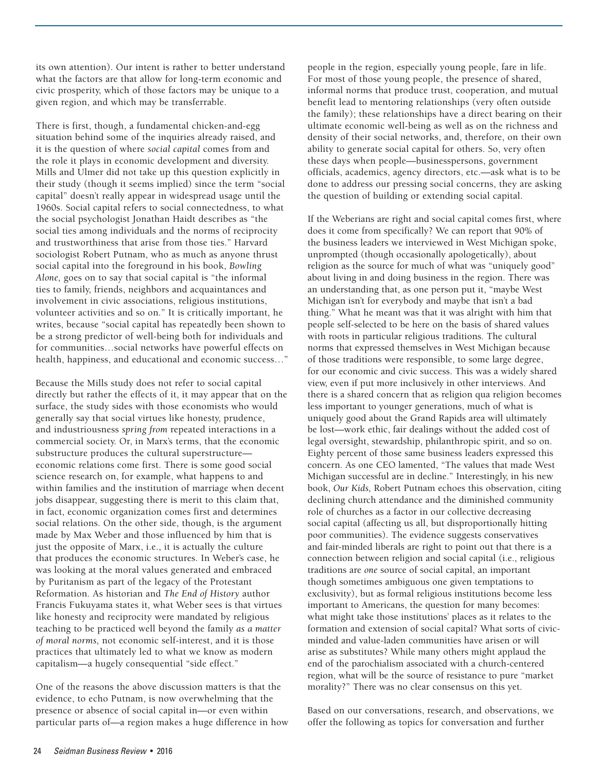its own attention). Our intent is rather to better understand what the factors are that allow for long-term economic and civic prosperity, which of those factors may be unique to a given region, and which may be transferrable.

There is first, though, a fundamental chicken-and-egg situation behind some of the inquiries already raised, and it is the question of where *social capital* comes from and the role it plays in economic development and diversity. Mills and Ulmer did not take up this question explicitly in their study (though it seems implied) since the term "social capital" doesn't really appear in widespread usage until the 1960s. Social capital refers to social connectedness, to what the social psychologist Jonathan Haidt describes as "the social ties among individuals and the norms of reciprocity and trustworthiness that arise from those ties." Harvard sociologist Robert Putnam, who as much as anyone thrust social capital into the foreground in his book, *Bowling Alone,* goes on to say that social capital is "the informal ties to family, friends, neighbors and acquaintances and involvement in civic associations, religious institutions, volunteer activities and so on." It is critically important, he writes, because "social capital has repeatedly been shown to be a strong predictor of well-being both for individuals and for communities…social networks have powerful effects on health, happiness, and educational and economic success…"

Because the Mills study does not refer to social capital directly but rather the effects of it, it may appear that on the surface, the study sides with those economists who would generally say that social virtues like honesty, prudence, and industriousness *spring from* repeated interactions in a commercial society. Or, in Marx's terms, that the economic substructure produces the cultural superstructure economic relations come first. There is some good social science research on, for example, what happens to and within families and the institution of marriage when decent jobs disappear, suggesting there is merit to this claim that, in fact, economic organization comes first and determines social relations. On the other side, though, is the argument made by Max Weber and those influenced by him that is just the opposite of Marx, i.e., it is actually the culture that produces the economic structures. In Weber's case, he was looking at the moral values generated and embraced by Puritanism as part of the legacy of the Protestant Reformation. As historian and *The End of History* author Francis Fukuyama states it, what Weber sees is that virtues like honesty and reciprocity were mandated by religious teaching to be practiced well beyond the family *as a matter of moral norms,* not economic self-interest, and it is those practices that ultimately led to what we know as modern capitalism—a hugely consequential "side effect."

One of the reasons the above discussion matters is that the evidence, to echo Putnam, is now overwhelming that the presence or absence of social capital in—or even within particular parts of—a region makes a huge difference in how

people in the region, especially young people, fare in life. For most of those young people, the presence of shared, informal norms that produce trust, cooperation, and mutual benefit lead to mentoring relationships (very often outside the family); these relationships have a direct bearing on their ultimate economic well-being as well as on the richness and density of their social networks, and, therefore, on their own ability to generate social capital for others. So, very often these days when people—businesspersons, government officials, academics, agency directors, etc.—ask what is to be done to address our pressing social concerns, they are asking the question of building or extending social capital.

If the Weberians are right and social capital comes first, where does it come from specifically? We can report that 90% of the business leaders we interviewed in West Michigan spoke, unprompted (though occasionally apologetically), about religion as the source for much of what was "uniquely good" about living in and doing business in the region. There was an understanding that, as one person put it, "maybe West Michigan isn't for everybody and maybe that isn't a bad thing." What he meant was that it was alright with him that people self-selected to be here on the basis of shared values with roots in particular religious traditions. The cultural norms that expressed themselves in West Michigan because of those traditions were responsible, to some large degree, for our economic and civic success. This was a widely shared view, even if put more inclusively in other interviews. And there is a shared concern that as religion qua religion becomes less important to younger generations, much of what is uniquely good about the Grand Rapids area will ultimately be lost—work ethic, fair dealings without the added cost of legal oversight, stewardship, philanthropic spirit, and so on. Eighty percent of those same business leaders expressed this concern. As one CEO lamented, "The values that made West Michigan successful are in decline." Interestingly, in his new book, *Our Kids,* Robert Putnam echoes this observation, citing declining church attendance and the diminished community role of churches as a factor in our collective decreasing social capital (affecting us all, but disproportionally hitting poor communities). The evidence suggests conservatives and fair-minded liberals are right to point out that there is a connection between religion and social capital (i.e., religious traditions are *one* source of social capital, an important though sometimes ambiguous one given temptations to exclusivity), but as formal religious institutions become less important to Americans, the question for many becomes: what might take those institutions' places as it relates to the formation and extension of social capital? What sorts of civicminded and value-laden communities have arisen or will arise as substitutes? While many others might applaud the end of the parochialism associated with a church-centered region, what will be the source of resistance to pure "market morality?" There was no clear consensus on this yet.

Based on our conversations, research, and observations, we offer the following as topics for conversation and further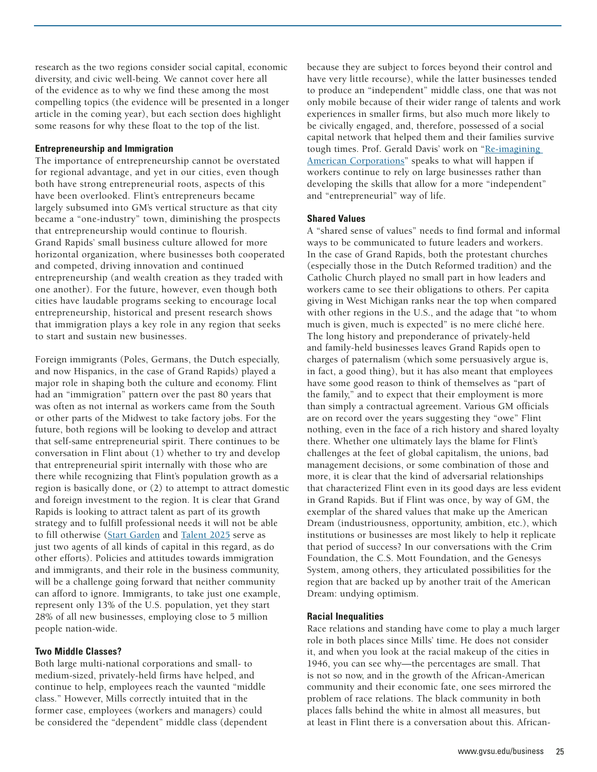research as the two regions consider social capital, economic diversity, and civic well-being. We cannot cover here all of the evidence as to why we find these among the most compelling topics (the evidence will be presented in a longer article in the coming year), but each section does highlight some reasons for why these float to the top of the list.

## **Entrepreneurship and Immigration**

The importance of entrepreneurship cannot be overstated for regional advantage, and yet in our cities, even though both have strong entrepreneurial roots, aspects of this have been overlooked. Flint's entrepreneurs became largely subsumed into GM's vertical structure as that city became a "one-industry" town, diminishing the prospects that entrepreneurship would continue to flourish. Grand Rapids' small business culture allowed for more horizontal organization, where businesses both cooperated and competed, driving innovation and continued entrepreneurship (and wealth creation as they traded with one another). For the future, however, even though both cities have laudable programs seeking to encourage local entrepreneurship, historical and present research shows that immigration plays a key role in any region that seeks to start and sustain new businesses.

Foreign immigrants (Poles, Germans, the Dutch especially, and now Hispanics, in the case of Grand Rapids) played a major role in shaping both the culture and economy. Flint had an "immigration" pattern over the past 80 years that was often as not internal as workers came from the South or other parts of the Midwest to take factory jobs. For the future, both regions will be looking to develop and attract that self-same entrepreneurial spirit. There continues to be conversation in Flint about (1) whether to try and develop that entrepreneurial spirit internally with those who are there while recognizing that Flint's population growth as a region is basically done, or (2) to attempt to attract domestic and foreign investment to the region. It is clear that Grand Rapids is looking to attract talent as part of its growth strategy and to fulfill professional needs it will not be able to fill otherwise [\(Start Garden](http://startgarden.com) and [Talent 2025](http://talent2025.org) serve as just two agents of all kinds of capital in this regard, as do other efforts). Policies and attitudes towards immigration and immigrants, and their role in the business community, will be a challenge going forward that neither community can afford to ignore. Immigrants, to take just one example, represent only 13% of the U.S. population, yet they start 28% of all new businesses, employing close to 5 million people nation-wide.

## **Two Middle Classes?**

Both large multi-national corporations and small- to medium-sized, privately-held firms have helped, and continue to help, employees reach the vaunted "middle class." However, Mills correctly intuited that in the former case, employees (workers and managers) could be considered the "dependent" middle class (dependent because they are subject to forces beyond their control and have very little recourse), while the latter businesses tended to produce an "independent" middle class, one that was not only mobile because of their wider range of talents and work experiences in smaller firms, but also much more likely to be civically engaged, and, therefore, possessed of a social capital network that helped them and their families survive tough times. Prof. Gerald Davis' work on "Re-imagining [American Corporations"](http://www.ssc.wisc.edu/~wright/ASA/Davis%20Real%20Utopia%20Essay%20--%20reimagining%20the%20corporation.pdf) speaks to what will happen if workers continue to rely on large businesses rather than developing the skills that allow for a more "independent" and "entrepreneurial" way of life.

## **Shared Values**

A "shared sense of values" needs to find formal and informal ways to be communicated to future leaders and workers. In the case of Grand Rapids, both the protestant churches (especially those in the Dutch Reformed tradition) and the Catholic Church played no small part in how leaders and workers came to see their obligations to others. Per capita giving in West Michigan ranks near the top when compared with other regions in the U.S., and the adage that "to whom much is given, much is expected" is no mere cliché here. The long history and preponderance of privately-held and family-held businesses leaves Grand Rapids open to charges of paternalism (which some persuasively argue is, in fact, a good thing), but it has also meant that employees have some good reason to think of themselves as "part of the family," and to expect that their employment is more than simply a contractual agreement. Various GM officials are on record over the years suggesting they "owe" Flint nothing, even in the face of a rich history and shared loyalty there. Whether one ultimately lays the blame for Flint's challenges at the feet of global capitalism, the unions, bad management decisions, or some combination of those and more, it is clear that the kind of adversarial relationships that characterized Flint even in its good days are less evident in Grand Rapids. But if Flint was once, by way of GM, the exemplar of the shared values that make up the American Dream (industriousness, opportunity, ambition, etc.), which institutions or businesses are most likely to help it replicate that period of success? In our conversations with the Crim Foundation, the C.S. Mott Foundation, and the Genesys System, among others, they articulated possibilities for the region that are backed up by another trait of the American Dream: undying optimism.

## **Racial Inequalities**

Race relations and standing have come to play a much larger role in both places since Mills' time. He does not consider it, and when you look at the racial makeup of the cities in 1946, you can see why—the percentages are small. That is not so now, and in the growth of the African-American community and their economic fate, one sees mirrored the problem of race relations. The black community in both places falls behind the white in almost all measures, but at least in Flint there is a conversation about this. African-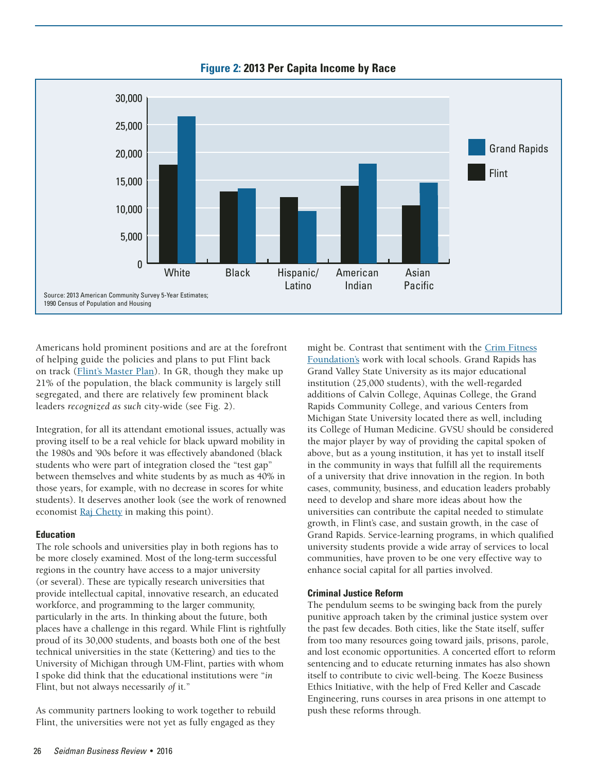

## **Figure 2: 2013 Per Capita Income by Race**

Americans hold prominent positions and are at the forefront of helping guide the policies and plans to put Flint back on track [\(Flint's Master Plan](http://www.imagineflint.com)). In GR, though they make up 21% of the population, the black community is largely still segregated, and there are relatively few prominent black leaders *recognized as such* city-wide (see Fig. 2).

Integration, for all its attendant emotional issues, actually was proving itself to be a real vehicle for black upward mobility in the 1980s and '90s before it was effectively abandoned (black students who were part of integration closed the "test gap" between themselves and white students by as much as 40% in those years, for example, with no decrease in scores for white students). It deserves another look (see the work of renowned economist [Raj Chetty](http://http://www.equality-of-opportunity.org) in making this point).

#### **Education**

The role schools and universities play in both regions has to be more closely examined. Most of the long-term successful regions in the country have access to a major university (or several). These are typically research universities that provide intellectual capital, innovative research, an educated workforce, and programming to the larger community, particularly in the arts. In thinking about the future, both places have a challenge in this regard. While Flint is rightfully proud of its 30,000 students, and boasts both one of the best technical universities in the state (Kettering) and ties to the University of Michigan through UM-Flint, parties with whom I spoke did think that the educational institutions were "*in* Flint, but not always necessarily *of* it."

As community partners looking to work together to rebuild Flint, the universities were not yet as fully engaged as they might be. Contrast that sentiment with the [Crim Fitness](http://crim.org) [Foundation's](http://crim.org) work with local schools. Grand Rapids has Grand Valley State University as its major educational institution (25,000 students), with the well-regarded additions of Calvin College, Aquinas College, the Grand Rapids Community College, and various Centers from Michigan State University located there as well, including its College of Human Medicine. GVSU should be considered the major player by way of providing the capital spoken of above, but as a young institution, it has yet to install itself in the community in ways that fulfill all the requirements of a university that drive innovation in the region. In both cases, community, business, and education leaders probably need to develop and share more ideas about how the universities can contribute the capital needed to stimulate growth, in Flint's case, and sustain growth, in the case of Grand Rapids. Service-learning programs, in which qualified university students provide a wide array of services to local communities, have proven to be one very effective way to enhance social capital for all parties involved.

## **Criminal Justice Reform**

The pendulum seems to be swinging back from the purely punitive approach taken by the criminal justice system over the past few decades. Both cities, like the State itself, suffer from too many resources going toward jails, prisons, parole, and lost economic opportunities. A concerted effort to reform sentencing and to educate returning inmates has also shown itself to contribute to civic well-being. The Koeze Business Ethics Initiative, with the help of Fred Keller and Cascade Engineering, runs courses in area prisons in one attempt to push these reforms through.